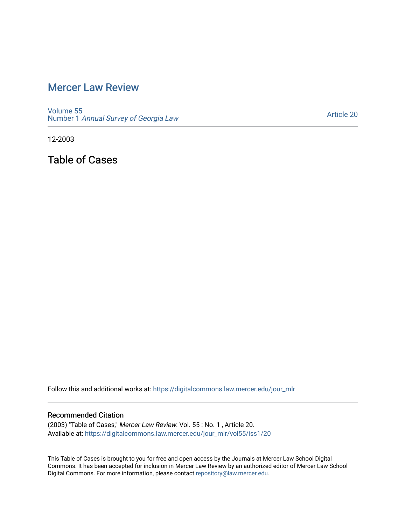## [Mercer Law Review](https://digitalcommons.law.mercer.edu/jour_mlr)

[Volume 55](https://digitalcommons.law.mercer.edu/jour_mlr/vol55) Number 1 [Annual Survey of Georgia Law](https://digitalcommons.law.mercer.edu/jour_mlr/vol55/iss1) 

[Article 20](https://digitalcommons.law.mercer.edu/jour_mlr/vol55/iss1/20) 

12-2003

Table of Cases

Follow this and additional works at: [https://digitalcommons.law.mercer.edu/jour\\_mlr](https://digitalcommons.law.mercer.edu/jour_mlr?utm_source=digitalcommons.law.mercer.edu%2Fjour_mlr%2Fvol55%2Fiss1%2F20&utm_medium=PDF&utm_campaign=PDFCoverPages)

## Recommended Citation

(2003) "Table of Cases," Mercer Law Review: Vol. 55 : No. 1 , Article 20. Available at: [https://digitalcommons.law.mercer.edu/jour\\_mlr/vol55/iss1/20](https://digitalcommons.law.mercer.edu/jour_mlr/vol55/iss1/20?utm_source=digitalcommons.law.mercer.edu%2Fjour_mlr%2Fvol55%2Fiss1%2F20&utm_medium=PDF&utm_campaign=PDFCoverPages) 

This Table of Cases is brought to you for free and open access by the Journals at Mercer Law School Digital Commons. It has been accepted for inclusion in Mercer Law Review by an authorized editor of Mercer Law School Digital Commons. For more information, please contact [repository@law.mercer.edu](mailto:repository@law.mercer.edu).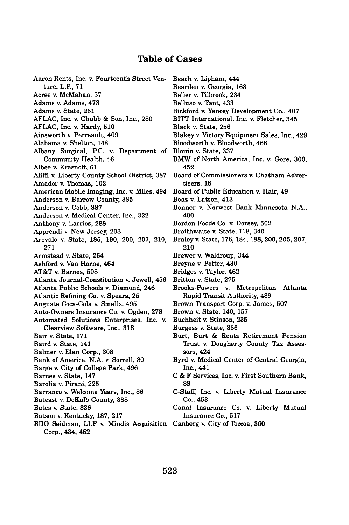## **Table of Cases**

Aaron Rents, Inc. v. Fourteenth Street Venture, L.P., **71** Acree v. McMahan, 57 Adams v. Adams, 473 Adams v. State, 261 AFLAC, Inc. v. Chubb & Son, Inc., 280 AFLAC, Inc. v. Hardy, 510 Ainsworth v. Perreault, 409 Alabama v. Shelton, 148 Albany Surgical, P.C. v. Department of Community Health, 46 Albee v. Krasnoff, 61 Aliffi v. Liberty County School District, 387 Amador v. Thomas, 102 American Mobile Imaging, Inc. v. Miles, 494 Anderson v. Barrow County, 385 Anderson v. Cobb, 387 Anderson v. Medical Center, Inc., 322 Anthony v. Larrios, 288 Apprendi v. New Jersey, 203 Arevalo v. State, 185, 190, 200, 207, 210, 271 Armstead v. State, 264 Ashford v. Van Horne, 464 AT&T v. Barnes, 508 Atlanta Journal-Constitution v. Jewell, 456 Atlanta Public Schools v. Diamond, 246 Atlantic Refining Co. v. Spears, 25 Augusta Coca-Cola v. Smalls, 495 Auto-Owners Insurance Co. v. Ogden, 278 Automated Solutions Enterprises, Inc. v. Clearview Software, Inc., 318 Bair v. State, 171 Baird v. State, 141 Balmer v. Elan Corp., 308 Bank of America, N.A. v. Sorrell, 80 Barge v. City of College Park, 496 Barnes v. State, 147 Barolia v. Pirani, 225 Barranco v. Welcome Years, Inc., 86 Bateast v. DeKalb County, 388 Bates v. State, 336 Batson v. Kentucky, 187, 217 BDO Seidman, LLP v. Mindis Acquisition Canberg v. City of Toccoa, 360 Corp., 434, 452 Beach v. Lipham, 444

Bearden v. Georgia, **163** Beller v. Tilbrook, 234 Belluso v. Tant, 433 Bickford v. Yancey Development Co., 407 BITT International, Inc. v. Fletcher, 345 Black v. State, 256 Blakey v. Victory Equipment Sales, Inc., 429 Bloodworth v. Bloodworth, 466 Blouin v. State, 337 BMW of North America, Inc. v. Gore, 300, 452 Board of Commissioners v. Chatham Advertisers, 18 Board of Public Education v. Hair, 49 Boaz v. Latson, 413 Bonner v. Norwest Bank Minnesota N.A., 400 Borden Foods Co. v. Dorsey, 502 Braithwaite v. State, 118, 340 Braley v. State, 176, 184, 188, 200, 205, 207, 210 Brewer v. Waldroup, 344 Breyne v. Potter, 430 Bridges v. Taylor, 462 Britton v. State, 275 Brooks-Powers v. Metropolitan Atlanta Rapid Transit Authority, 489 Brown Transport Corp. v. James, 507 Brown v. State, 140, 157 Buchheit v. Stinson, 235 Burgess v. State, 336 Burt, Burt & Rentz Retirement Pension Trust v. Dougherty County Tax Assessors, 424 Byrd v. Medical Center of Central Georgia, Inc., 441 C & F Services, Inc. v. First Southern Bank, 88 C-Staff, Inc. v. Liberty Mutual Insurance Co., 453 Canal Insurance Co. v. Liberty Mutual Insurance Co., 517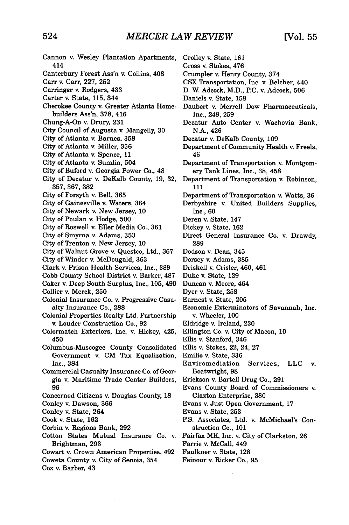| Cannon v. Wesley Plantation Apartments,     | Crolley v. State, 161                            |
|---------------------------------------------|--------------------------------------------------|
| 414                                         | Cross v. Stokes, 476                             |
| Canterbury Forest Ass'n v. Collins, 408     | Crumpler v. Henry County, 374                    |
| Carr v. Carr, 227, 252                      | CSX Transportation, Inc. v. Belcher, 440         |
| Carringer v. Rodgers, 433                   | D. W. Adcock, M.D., P.C. v. Adcock, 506          |
| Carter v. State, 115, 344                   | Daniels v. State, 158                            |
| Cherokee County v. Greater Atlanta Home-    | Daubert v. Merrell Dow Pharmaceuticals,          |
| builders Ass'n, 378, 416                    | Inc., 249, 259                                   |
| Chung-A-On v. Drury, 231                    | Decatur Auto Center v. Wachovia Bank,            |
| City Council of Augusta v. Mangelly, 30     | N.A., 426                                        |
| City of Atlanta v. Barnes, 358              | Decatur v. DeKalb County, 109                    |
| City of Atlanta v. Miller, 356              | Department of Community Health v. Freels,        |
| City of Atlanta v. Spence, 11               | 45                                               |
| City of Atlanta v. Sumlin, 504              | Department of Transportation v. Montgom-         |
| City of Buford v. Georgia Power Co., 48     | ery Tank Lines, Inc., 38, 458                    |
| City of Decatur v. DeKalb County, 19, 32,   | Department of Transportation v. Robinson,        |
| 357, 367, 382                               | 111                                              |
|                                             |                                                  |
| City of Forsyth v. Bell, 365                | Department of Transportation v. Watts, 36        |
| City of Gainesville v. Waters, 364          | Derbyshire v. United Builders Supplies,          |
| City of Newark v. New Jersey, 10            | Inc., 60                                         |
| City of Poulan v. Hodge, 500                | Deren v. State, 147                              |
| City of Roswell v. Eller Media Co., 361     | Dickey v. State, 162                             |
| City of Smyrna v. Adams, 353                | Direct General Insurance Co. v. Drawdy,          |
| City of Trenton v. New Jersey, 10           | 289                                              |
| City of Walnut Grove v. Questco, Ltd., 367  | Dodson v. Dean, 345                              |
| City of Winder v. McDougald, 363            | Dorsey v. Adams, 385                             |
| Clark v. Prison Health Services, Inc., 389  | Driskell v. Crisler, 460, 461                    |
| Cobb County School District v. Barker, 487  | Duke v. State, 129                               |
| Coker v. Deep South Surplus, Inc., 105, 490 | Duncan v. Moore, 464                             |
| Collier v. Merck, 250                       | Dyer v. State, 258                               |
| Colonial Insurance Co. v. Progressive Casu- | Earnest v. State, 205                            |
| alty Insurance Co., 288                     | Economic Exterminators of Savannah, Inc.         |
| Colonial Properties Realty Ltd. Partnership | v. Wheeler, 100                                  |
| v. Louder Construction Co., 92              | Eldridge v. Ireland, 230                         |
| Colormatch Exteriors, Inc. v. Hickey, 425,  | Ellington Co. v. City of Macon, 10               |
| 450                                         | Ellis v. Stanford, 346                           |
| Columbus-Muscogee County Consolidated       | Ellis v. Stokes, 22, 24, 27                      |
| Government v. CM Tax Equalization,          | Emilio v. State, 336                             |
| Inc., 384                                   | Enviromediation<br>Services,<br><b>LLC</b><br>v. |
| Commercial Casualty Insurance Co. of Geor-  | Boatwright, 98                                   |
| gia v. Maritime Trade Center Builders,      | Erickson v. Bartell Drug Co., 291                |
| 96                                          | Evans County Board of Commissioners v.           |
| Concerned Citizens v. Douglas County, 18    | Claxton Enterprise, 380                          |
| Conley v. Dawson, 366                       | Evans v. Just Open Government, 17                |
| Conley v. State, 264                        | Evans v. State, 253                              |
| Cook v. State, 162                          | F.S. Associates, Ltd. v. McMichael's Con-        |
| Corbin v. Regions Bank, 292                 | struction Co., 101                               |
| Cotton States Mutual Insurance Co. v.       | Fairfax MK, Inc. v. City of Clarkston, 26        |
| Brightman, 293                              | Farrie v. McCall, 449                            |
| Cowart v. Crown American Properties, 492    | Faulkner v. State, 128                           |
| Coweta County v. City of Senoia, 354        | Feinour v. Ricker Co., 95                        |
| Cox v. Barber, 43                           |                                                  |
|                                             |                                                  |
|                                             |                                                  |
|                                             |                                                  |

 $\sim$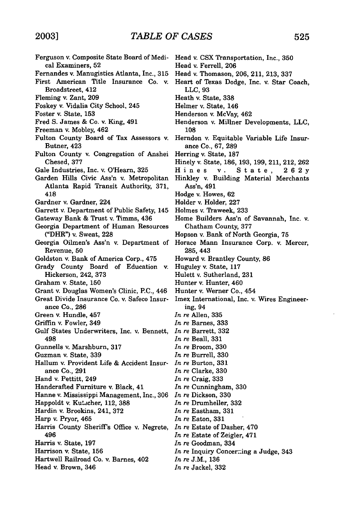Ferguson v. Composite State Board of Medical Examiners, 52 Fernandes v. Manugistics Atlanta, Inc., 315 First American Title Insurance Co. v. Broadstreet, 412 Fleming v. Zant, 209 Foskey v. Vidalia City School, 245 Foster v. State, 153 Fred S. James & Co. v. King, 491 Freeman v. Mobley, 462 Fulton County Board of Tax Assessors v. Butner, 423 Fulton County v. Congregation of Anshei Chesed, 377 Gale Industries, Inc. v. O'Hearn, 325 Garden Hills Civic Ass'n v. Metropolitan Atlanta Rapid Transit Authority, 371, 418 Gardner v. Gardner, 224 Garrett v. Department of Public Safety, 145 Gateway Bank & Trust v. Timms, 436 Georgia Department of Human Resources ("DHR") v. Sweat, 228 Georgia Oilmen's Ass'n v. Department of Revenue, 50 Goldston v. Bank of America Corp., 475 Grady County Board of Education v. Hickerson, 242, 373 Graham v. State, 150 Grant v. Douglas Women's Clinic, P.C., 446 Great Divide Insurance Co. v. Safeco Insurance Co., 286 Green v. Hundle, 457 Griffin v. Fowler, 349 Gulf States Underwriters, Inc. v. Bennett, 498 Gunnells v. Marshburn, 317 Guzman v. State, 339 Hallum v. Provident Life & Accident Insurance Co., 291 Hand v. Pettitt, 249 Handcrafted Furniture v. Black, 41 Hanne v. Mississippi Management, Inc., 306 Happoldt v. Ku'scher, 112, **388** Hardin v. Brookins, 241, 372 Harp v. Pryor, 465 Harris County Sheriff's Office v. Negrete, 496 Harris v. State, **197** Harrison v. State, 156 Hartwell Railroad Co. v. Barnes, 402 Head v. Brown, 346 Head v. CSX Transportation, Inc., 350 Head v. Ferrell, 206 Head v. Thomason, 206, 211, 213, 337 Heart of Texas Dodge, Inc. v. Star Coach, LLC, 93 Heath v. State, 338 Helmer v. State, 146 Henderson v. McVay, 462 Henderson v. Millner Developments, LLC, 108 Herndon v. Equitable Variable Life Insurance Co., 67, 289 Herring v. State, 187 Hinely v. State, 186, 193, 199, 211, 212, 262 Hines v. State, 262y Hinkley v. Building Material Merchants Ass'n, 491 Hodge v. Howes, 62 Holder v. Holder, 227 Holmes v. Traweek, 233 Home Builders Ass'n of Savannah, Inc. v. Chatham County, 377 Hopson v. Bank of North Georgia, 75 Horace Mann Insurance Corp. v. Mercer, 285, 443 Howard v. Brantley County, 86 Huguley v. State, 117 Hulett v. Sutherland, 231 Hunter v. Hunter, 460 Hunter v. Werner Co., 454 Imex International, Inc. v. Wires Engineering, 94 *In re* Allen, 335 *In re* Barnes, 333 *In re* Barrett, 332 *In re* Beall, 331 *In re* Broom, 330 *In re* Burrell, 330 *In re* Burton, 331 *In* re Clarke, 330 *In* re Craig, 333 *In re* Cunningham, 330 *In re* Dickson, 330 *In* re Drumheller, 332 *In* re Eastham, 331 *In* re Eaton, 331 *In* re Estate of Dasher, 470 *In* re Estate of Zeigler, 471 *In* re Goodman, 334 *In re* Inquiry Concerming a Judge, 343 *In re* J.M., 136 *In* re Jackel, 332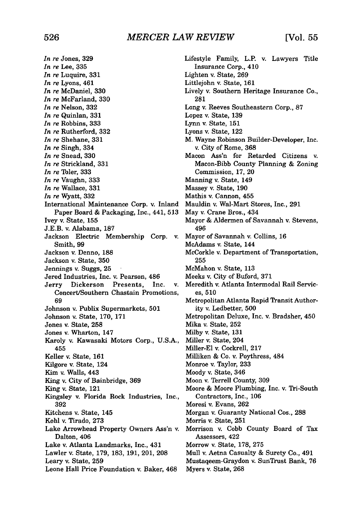*In re* Jones, 329 *In re* Lee, 335 *In re* Luquire, 331 *In re* Lyons, 461 *In re* McDaniel, 330 *In re* McFarland, 330 *In re* Nelson, 332 *In re* Quinlan, 331 *In re* Robbins, 333 *In re* Rutherford, 332 *In re* Shehane, 331 *In re* Singh, 334 *In re* Snead, 330 *In re* Strickland, 331 *In re* Toler, 333 *In re* Vaughn, 333 *In re* Wallace, 331 *In re* Wyatt, 332 International Maintenance Corp. v. Inland Paper Board & Packaging, Inc., 441, 513 Ivey v. State, 155 J.E.B. v. Alabama, 187 Jackson Electric Membership Corp. v. Smith, 99 Jackson v. Denno, 188 Jackson v. State, 350 Jennings v. Suggs, 25 Jered Industries, Inc. v. Pearson, 486 Jerry Dickerson Presents, Inc. v. Concert/Southern Chastain Promotions, 69 Johnson v. Publix Supermarkets, **501** Johnson v. State, 170, 171 Jones v. State, 258 Jones v. Wharton, 147 Karoly v. Kawasaki Motors Corp., U.S.A., 455 Keller v. State, 161 Kilgore v. State, 124 Kim v. Walls, 443 King v. City of Bainbridge, 369 King v. State, 121 Kingsley v. Florida Rock Industries, Inc., 392 Kitchens v. State, 145 Kohl v. Tirado, 273 Lake Arrowhead Property Owners Ass'n v. Dalton, 406 Lake v. Atlanta Landmarks, Inc., 431 Lawler v. State, 179, 183, 191, 201, 208 Leary v. State, 259 Leone Hall Price Foundation v. Baker, 468

Lifestyle Family, L.P. v. Lawyers Title Insurance Corp., 410 Lighten v. State, 269 Littlejohn v. State, **161** Lively v. Southern Heritage Insurance Co., 281 Long v. Reeves Southeastern Corp., 87 Lopez v. State, 139 Lynn v. State, **151** Lyons v. State, 122 M. Wayne Robinson Builder-Developer, Inc. v. City of Rome, 368 Macon Ass'n for Retarded Citizens v. Macon-Bibb County Planning & Zoning Commission, 17, 20 Manning v. State, 149 Massey v. State, 190 Mathis v. Cannon, 455 Mauldin v. Wal-Mart Stores, Inc., 291 May v. Crane Bros., 434 Mayor & Aldermen of Savannah v. Stevens, 496 Mayor of Savannah v. Collins, 16 McAdams v. State, 144 McCorkle v. Department of Transportation, 255 McMahon v. State, 113 Meeks v. City of Buford, 371 Meredith v. Atlanta Intermodal Rail Services, 510 Metropolitan Atlanta Rapid Transit Authority v. Ledbetter, 500 Metropolitan Deluxe, Inc. v. Bradsher, 450 Mika v. State, 252 Milby v. State, 131 Miller v. State, 204 Miller-El v. Cockrell, 217 Milliken & Co. v. Poythress, 484 Monroe v. Taylor, 233 Moody v. State, 346 Moon v. Terrell County, 309 Moore & Moore Plumbing, Inc. v. Tri-South Contractors, Inc., 106 Moresi v. Evans, 262 Morgan v. Guaranty National Cos., 288 Morris v. State, 251 Morrison v. Cobb County Board of Tax Assessors, 422 Morrow v. State, 178, 275 Mull v. Aetna Casualty & Surety Co., 491 Mustaqeem-Graydon v. SunTrust Bank, 76 Myers v. State, 268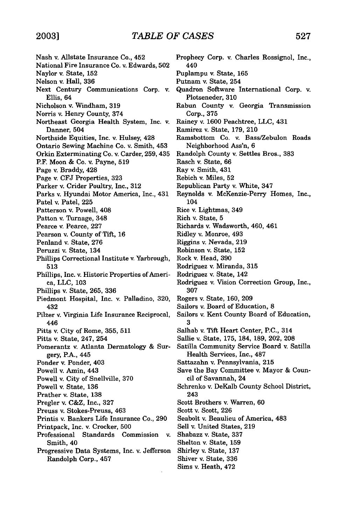- Nash v. Allstate Insurance Co., 452 National Fire Insurance Co. v. Edwards, 502 Naylor v. State, 152 Nelson v. Hall, 336 Next Century Communications Corp. v. Ellis, 64 Nicholson v. Windham, 319 Norris v. Henry County, 374 Northeast Georgia Health System, Inc. v. Danner, 504 Northside Equities, Inc. v. Hulsey, 428 Ontario Sewing Machine Co. v. Smith, 453 Orkin Exterminating Co. v. Carder, 259, 435 P.F. Moon & Co. v. Payne, 519 Page v. Braddy, 428 Page v. CFJ Properties, 323 Parker v. Crider Poultry, Inc., 312 Parks v. Hyundai Motor America, Inc., 431 Patel v. Patel, 225 Patterson v. Powell, 408 Patton v. Turnage, 348 Pearce v. Pearce, 227 Pearson v. County of Tift, 16 Penland v. State, 276 Peruzzi v. State, 134 Phillips Correctional Institute v. Yarbrough, 513 Phillips, Inc. v. Historic Properties of America, LLC, 103 Phillips v. State, 265, 336 Piedmont Hospital, Inc. v. Palladino, 320, 432 Pilzer v. Virginia Life Insurance Reciprocal, 446 Pitts v. City of Rome, 355, 511 Pitts v. State, 247, 254 Pomerantz v. Atlanta Dermatology & Surgery, P.A., 445 Ponder v. Ponder, 403 Powell v. Amin, 443 Powell v. City of Snellville, 370 Powell v. State, 136 Prather v. State, **138** Pregler v. C&Z, Inc., 327 Preuss v. Stokes-Preuss, 463 Printis v. Bankers Life Insurance Co., 290 Printpack, Inc. v. Crocker, 500 Professional Standards Commission v. Smith, 40 Prophecy Corp. v. Charles Rossignol, Inc., 440 3
- Progressive Data Systems, Inc. v. Jefferson Randolph Corp., 457
- Puplampu v. State, 165 Putnam v. State, 254 Quadron Software International Corp. v. Plotseneder, 310 Rabun County v. Georgia Transmission Corp., 375 Rainey v. 1600 Peachtree, LLC, 431 Ramirez v. State, 179, 210 Ramsbottom Co. v. Bass/Zebulon Roads Neighborhood Ass'n, 6 Randolph County v. Settles Bros., 383 Rasch v. State, 66 Ray v. Smith, 431 Rebich v. Miles, 52 Republican Party v. White, 347 Reynolds v. McKenzie-Perry Homes, Inc., 104 Rice v. Lightmas, 349 Rich v. State, 5 Richards v. Wadsworth, 460, 461 Ridley v. Monroe, 493 Riggins v. Nevada, 219 Robinson v. State, **152** Rock v. Head, 390 Rodriguez v. Miranda, 315 Rodriguez v. State, 142 Rodriguez v. Vision Correction Group, Inc., 307 Rogers v. State, 160, 209 Sailors v. Board of Education, 8 Sailors v. Kent County Board of Education, Salhab v. Tift Heart Center, P.C., 314 Sallie v. State, 175, 184, 189, 202, 208 Satilla Community Service Board v. Satilla Health Services, Inc., 487 Sattazahn v. Pennsylvania, **215** Save the Bay Committee v. Mayor & Council of Savannah, 24 Schrenko v. DeKalb County School District, 243 Scott Brothers v. Warren, 60 Scott v. Scott, 226 Seabolt v. Beaulieu of America, 483 Sell v. United States, 219 Shabazz v. State, 337 Shelton v. State, 159
- 
- Shirley v. State, 137
- Shiver v. State, 336
- Sims v. Heath, 472